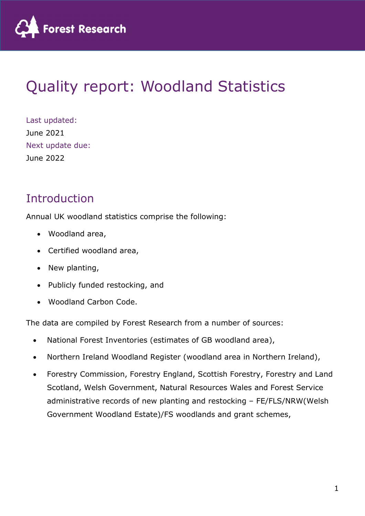

# Quality report: Woodland Statistics

Last updated: June 2021 Next update due: June 2022

# Introduction

Annual UK woodland statistics comprise the following:

- Woodland area,
- Certified woodland area,
- New planting,
- Publicly funded restocking, and
- Woodland Carbon Code.

The data are compiled by Forest Research from a number of sources:

- National Forest Inventories (estimates of GB woodland area),
- Northern Ireland Woodland Register (woodland area in Northern Ireland),
- Forestry Commission, Forestry England, Scottish Forestry, Forestry and Land Scotland, Welsh Government, Natural Resources Wales and Forest Service administrative records of new planting and restocking – FE/FLS/NRW(Welsh Government Woodland Estate)/FS woodlands and grant schemes,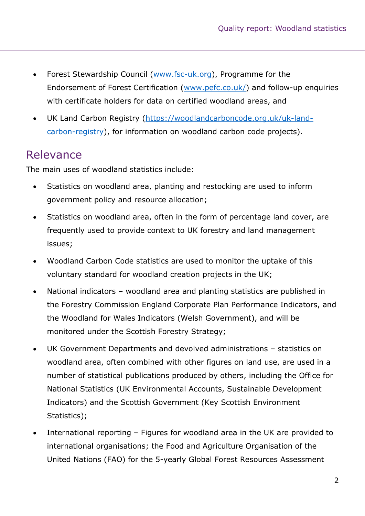- Forest Stewardship Council (www.fsc-uk.org), Programme for the Endorsement of Forest Certification (www.pefc.co.uk/) and follow-up enquiries with certificate holders for data on certified woodland areas, and
- UK Land Carbon Registry (https://woodlandcarboncode.org.uk/uk-landcarbon-registry), for information on woodland carbon code projects).

### Relevance

The main uses of woodland statistics include:

- Statistics on woodland area, planting and restocking are used to inform government policy and resource allocation;
- Statistics on woodland area, often in the form of percentage land cover, are frequently used to provide context to UK forestry and land management issues;
- Woodland Carbon Code statistics are used to monitor the uptake of this voluntary standard for woodland creation projects in the UK;
- National indicators woodland area and planting statistics are published in the Forestry Commission England Corporate Plan Performance Indicators, and the Woodland for Wales Indicators (Welsh Government), and will be monitored under the Scottish Forestry Strategy;
- UK Government Departments and devolved administrations statistics on woodland area, often combined with other figures on land use, are used in a number of statistical publications produced by others, including the Office for National Statistics (UK Environmental Accounts, Sustainable Development Indicators) and the Scottish Government (Key Scottish Environment Statistics);
- International reporting Figures for woodland area in the UK are provided to international organisations; the Food and Agriculture Organisation of the United Nations (FAO) for the 5-yearly Global Forest Resources Assessment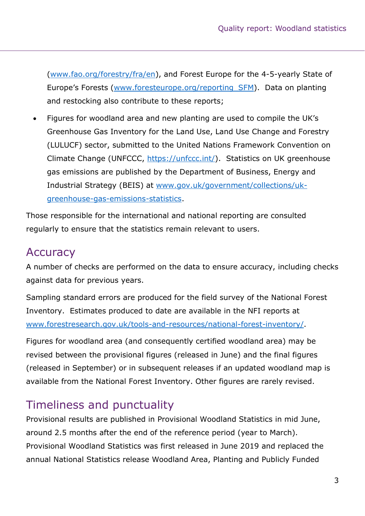(www.fao.org/forestry/fra/en), and Forest Europe for the 4-5-yearly State of Europe's Forests (www.foresteurope.org/reporting\_SFM). Data on planting and restocking also contribute to these reports;

 Figures for woodland area and new planting are used to compile the UK's Greenhouse Gas Inventory for the Land Use, Land Use Change and Forestry (LULUCF) sector, submitted to the United Nations Framework Convention on Climate Change (UNFCCC, https://unfccc.int/). Statistics on UK greenhouse gas emissions are published by the Department of Business, Energy and Industrial Strategy (BEIS) at www.gov.uk/government/collections/ukgreenhouse-gas-emissions-statistics.

Those responsible for the international and national reporting are consulted regularly to ensure that the statistics remain relevant to users.

# **Accuracy**

A number of checks are performed on the data to ensure accuracy, including checks against data for previous years.

Sampling standard errors are produced for the field survey of the National Forest Inventory. Estimates produced to date are available in the NFI reports at www.forestresearch.gov.uk/tools-and-resources/national-forest-inventory/.

Figures for woodland area (and consequently certified woodland area) may be revised between the provisional figures (released in June) and the final figures (released in September) or in subsequent releases if an updated woodland map is available from the National Forest Inventory. Other figures are rarely revised.

# Timeliness and punctuality

Provisional results are published in Provisional Woodland Statistics in mid June, around 2.5 months after the end of the reference period (year to March). Provisional Woodland Statistics was first released in June 2019 and replaced the annual National Statistics release Woodland Area, Planting and Publicly Funded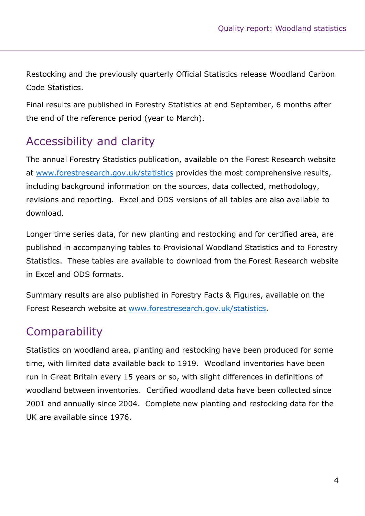Restocking and the previously quarterly Official Statistics release Woodland Carbon Code Statistics.

Final results are published in Forestry Statistics at end September, 6 months after the end of the reference period (year to March).

# Accessibility and clarity

The annual Forestry Statistics publication, available on the Forest Research website at www.forestresearch.gov.uk/statistics provides the most comprehensive results, including background information on the sources, data collected, methodology, revisions and reporting. Excel and ODS versions of all tables are also available to download.

Longer time series data, for new planting and restocking and for certified area, are published in accompanying tables to Provisional Woodland Statistics and to Forestry Statistics. These tables are available to download from the Forest Research website in Excel and ODS formats.

Summary results are also published in Forestry Facts & Figures, available on the Forest Research website at www.forestresearch.gov.uk/statistics.

# **Comparability**

Statistics on woodland area, planting and restocking have been produced for some time, with limited data available back to 1919. Woodland inventories have been run in Great Britain every 15 years or so, with slight differences in definitions of woodland between inventories. Certified woodland data have been collected since 2001 and annually since 2004. Complete new planting and restocking data for the UK are available since 1976.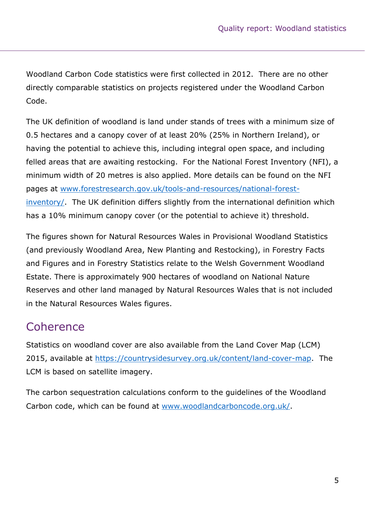Woodland Carbon Code statistics were first collected in 2012. There are no other directly comparable statistics on projects registered under the Woodland Carbon Code.

The UK definition of woodland is land under stands of trees with a minimum size of 0.5 hectares and a canopy cover of at least 20% (25% in Northern Ireland), or having the potential to achieve this, including integral open space, and including felled areas that are awaiting restocking. For the National Forest Inventory (NFI), a minimum width of 20 metres is also applied. More details can be found on the NFI pages at www.forestresearch.gov.uk/tools-and-resources/national-forestinventory/. The UK definition differs slightly from the international definition which has a 10% minimum canopy cover (or the potential to achieve it) threshold.

The figures shown for Natural Resources Wales in Provisional Woodland Statistics (and previously Woodland Area, New Planting and Restocking), in Forestry Facts and Figures and in Forestry Statistics relate to the Welsh Government Woodland Estate. There is approximately 900 hectares of woodland on National Nature Reserves and other land managed by Natural Resources Wales that is not included in the Natural Resources Wales figures.

# Coherence

Statistics on woodland cover are also available from the Land Cover Map (LCM) 2015, available at https://countrysidesurvey.org.uk/content/land-cover-map. The LCM is based on satellite imagery.

The carbon sequestration calculations conform to the guidelines of the Woodland Carbon code, which can be found at www.woodlandcarboncode.org.uk/.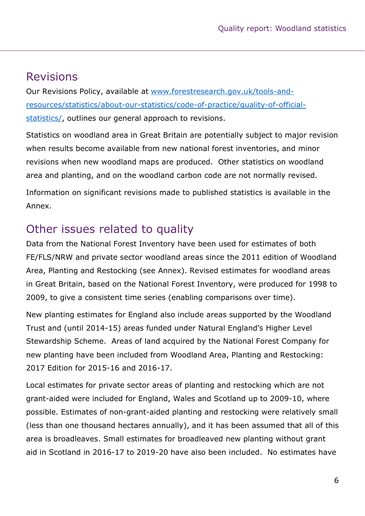### Revisions

Our Revisions Policy, available at www.forestresearch.gov.uk/tools-andresources/statistics/about-our-statistics/code-of-practice/quality-of-officialstatistics/, outlines our general approach to revisions.

Statistics on woodland area in Great Britain are potentially subject to major revision when results become available from new national forest inventories, and minor revisions when new woodland maps are produced. Other statistics on woodland area and planting, and on the woodland carbon code are not normally revised.

Information on significant revisions made to published statistics is available in the Annex.

# Other issues related to quality

Data from the National Forest Inventory have been used for estimates of both FE/FLS/NRW and private sector woodland areas since the 2011 edition of Woodland Area, Planting and Restocking (see Annex). Revised estimates for woodland areas in Great Britain, based on the National Forest Inventory, were produced for 1998 to 2009, to give a consistent time series (enabling comparisons over time).

New planting estimates for England also include areas supported by the Woodland Trust and (until 2014-15) areas funded under Natural England's Higher Level Stewardship Scheme. Areas of land acquired by the National Forest Company for new planting have been included from Woodland Area, Planting and Restocking: 2017 Edition for 2015-16 and 2016-17.

Local estimates for private sector areas of planting and restocking which are not grant-aided were included for England, Wales and Scotland up to 2009-10, where possible. Estimates of non-grant-aided planting and restocking were relatively small (less than one thousand hectares annually), and it has been assumed that all of this area is broadleaves. Small estimates for broadleaved new planting without grant aid in Scotland in 2016-17 to 2019-20 have also been included. No estimates have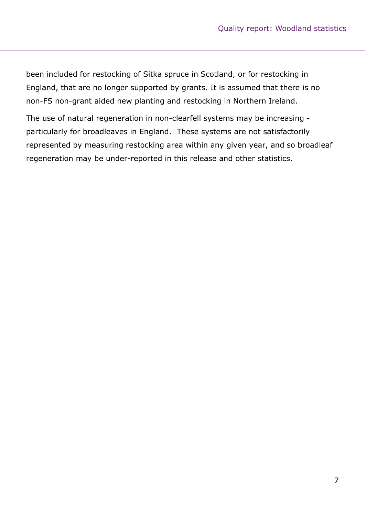been included for restocking of Sitka spruce in Scotland, or for restocking in England, that are no longer supported by grants. It is assumed that there is no non-FS non-grant aided new planting and restocking in Northern Ireland.

The use of natural regeneration in non-clearfell systems may be increasing particularly for broadleaves in England. These systems are not satisfactorily represented by measuring restocking area within any given year, and so broadleaf regeneration may be under-reported in this release and other statistics.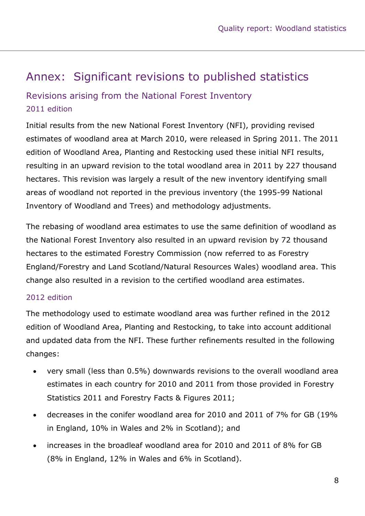# Annex: Significant revisions to published statistics

### Revisions arising from the National Forest Inventory 2011 edition

Initial results from the new National Forest Inventory (NFI), providing revised estimates of woodland area at March 2010, were released in Spring 2011. The 2011 edition of Woodland Area, Planting and Restocking used these initial NFI results, resulting in an upward revision to the total woodland area in 2011 by 227 thousand hectares. This revision was largely a result of the new inventory identifying small areas of woodland not reported in the previous inventory (the 1995-99 National Inventory of Woodland and Trees) and methodology adjustments.

The rebasing of woodland area estimates to use the same definition of woodland as the National Forest Inventory also resulted in an upward revision by 72 thousand hectares to the estimated Forestry Commission (now referred to as Forestry England/Forestry and Land Scotland/Natural Resources Wales) woodland area. This change also resulted in a revision to the certified woodland area estimates.

#### 2012 edition

The methodology used to estimate woodland area was further refined in the 2012 edition of Woodland Area, Planting and Restocking, to take into account additional and updated data from the NFI. These further refinements resulted in the following changes:

- very small (less than 0.5%) downwards revisions to the overall woodland area estimates in each country for 2010 and 2011 from those provided in Forestry Statistics 2011 and Forestry Facts & Figures 2011;
- decreases in the conifer woodland area for 2010 and 2011 of 7% for GB (19% in England, 10% in Wales and 2% in Scotland); and
- increases in the broadleaf woodland area for 2010 and 2011 of 8% for GB (8% in England, 12% in Wales and 6% in Scotland).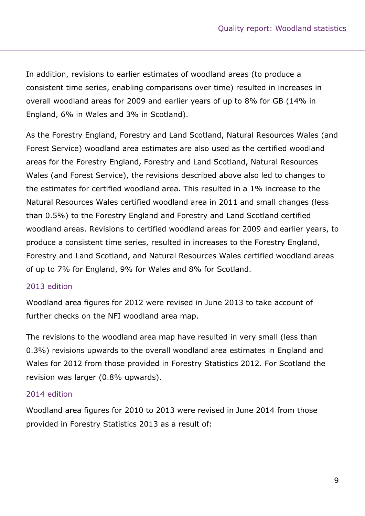In addition, revisions to earlier estimates of woodland areas (to produce a consistent time series, enabling comparisons over time) resulted in increases in overall woodland areas for 2009 and earlier years of up to 8% for GB (14% in England, 6% in Wales and 3% in Scotland).

As the Forestry England, Forestry and Land Scotland, Natural Resources Wales (and Forest Service) woodland area estimates are also used as the certified woodland areas for the Forestry England, Forestry and Land Scotland, Natural Resources Wales (and Forest Service), the revisions described above also led to changes to the estimates for certified woodland area. This resulted in a 1% increase to the Natural Resources Wales certified woodland area in 2011 and small changes (less than 0.5%) to the Forestry England and Forestry and Land Scotland certified woodland areas. Revisions to certified woodland areas for 2009 and earlier years, to produce a consistent time series, resulted in increases to the Forestry England, Forestry and Land Scotland, and Natural Resources Wales certified woodland areas of up to 7% for England, 9% for Wales and 8% for Scotland.

#### 2013 edition

Woodland area figures for 2012 were revised in June 2013 to take account of further checks on the NFI woodland area map.

The revisions to the woodland area map have resulted in very small (less than 0.3%) revisions upwards to the overall woodland area estimates in England and Wales for 2012 from those provided in Forestry Statistics 2012. For Scotland the revision was larger (0.8% upwards).

#### 2014 edition

Woodland area figures for 2010 to 2013 were revised in June 2014 from those provided in Forestry Statistics 2013 as a result of: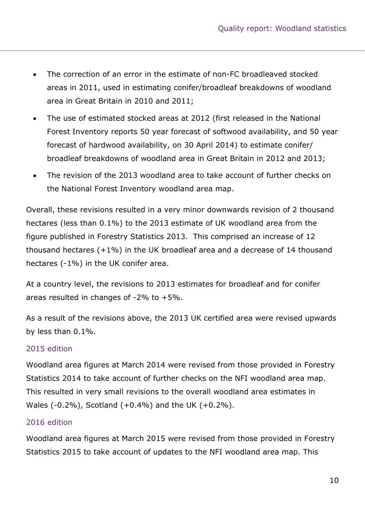- The correction of an error in the estimate of non-FC broadleaved stocked areas in 2011, used in estimating conifer/broadleaf breakdowns of woodland area in Great Britain in 2010 and 2011;
- The use of estimated stocked areas at 2012 (first released in the National Forest Inventory reports 50 year forecast of softwood availability, and 50 year forecast of hardwood availability, on 30 April 2014) to estimate conifer/ broadleaf breakdowns of woodland area in Great Britain in 2012 and 2013;
- The revision of the 2013 woodland area to take account of further checks on the National Forest Inventory woodland area map.

Overall, these revisions resulted in a very minor downwards revision of 2 thousand hectares (less than 0.1%) to the 2013 estimate of UK woodland area from the figure published in Forestry Statistics 2013. This comprised an increase of 12 thousand hectares (+1%) in the UK broadleaf area and a decrease of 14 thousand hectares (-1%) in the UK conifer area.

At a country level, the revisions to 2013 estimates for broadleaf and for conifer areas resulted in changes of  $-2\%$  to  $+5\%$ .

As a result of the revisions above, the 2013 UK certified area were revised upwards by less than 0.1%.

#### 2015 edition

Woodland area figures at March 2014 were revised from those provided in Forestry Statistics 2014 to take account of further checks on the NFI woodland area map. This resulted in very small revisions to the overall woodland area estimates in Wales (-0.2%), Scotland (+0.4%) and the UK (+0.2%).

#### 2016 edition

Woodland area figures at March 2015 were revised from those provided in Forestry Statistics 2015 to take account of updates to the NFI woodland area map. This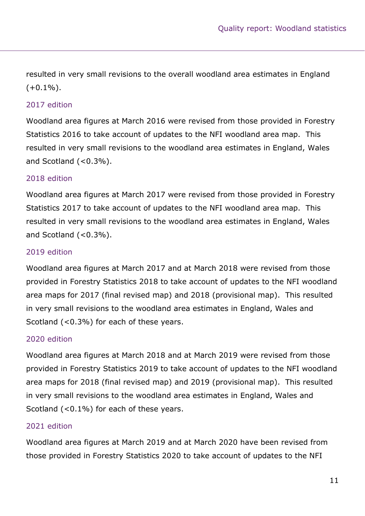resulted in very small revisions to the overall woodland area estimates in England  $(+0.1\%)$ .

#### 2017 edition

Woodland area figures at March 2016 were revised from those provided in Forestry Statistics 2016 to take account of updates to the NFI woodland area map. This resulted in very small revisions to the woodland area estimates in England, Wales and Scotland  $( $0.3\%$ ).$ 

#### 2018 edition

Woodland area figures at March 2017 were revised from those provided in Forestry Statistics 2017 to take account of updates to the NFI woodland area map. This resulted in very small revisions to the woodland area estimates in England, Wales and Scotland  $( $0.3\%$ ).$ 

#### 2019 edition

Woodland area figures at March 2017 and at March 2018 were revised from those provided in Forestry Statistics 2018 to take account of updates to the NFI woodland area maps for 2017 (final revised map) and 2018 (provisional map). This resulted in very small revisions to the woodland area estimates in England, Wales and Scotland (<0.3%) for each of these years.

#### 2020 edition

Woodland area figures at March 2018 and at March 2019 were revised from those provided in Forestry Statistics 2019 to take account of updates to the NFI woodland area maps for 2018 (final revised map) and 2019 (provisional map). This resulted in very small revisions to the woodland area estimates in England, Wales and Scotland (<0.1%) for each of these years.

#### 2021 edition

Woodland area figures at March 2019 and at March 2020 have been revised from those provided in Forestry Statistics 2020 to take account of updates to the NFI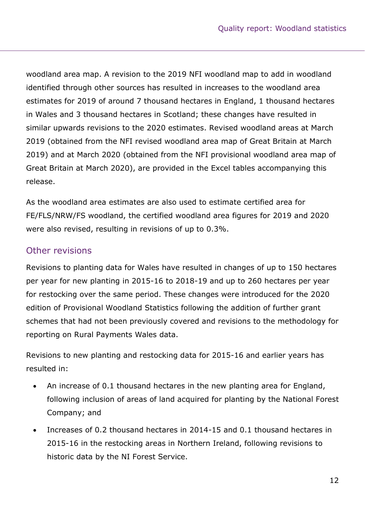woodland area map. A revision to the 2019 NFI woodland map to add in woodland identified through other sources has resulted in increases to the woodland area estimates for 2019 of around 7 thousand hectares in England, 1 thousand hectares in Wales and 3 thousand hectares in Scotland; these changes have resulted in similar upwards revisions to the 2020 estimates. Revised woodland areas at March 2019 (obtained from the NFI revised woodland area map of Great Britain at March 2019) and at March 2020 (obtained from the NFI provisional woodland area map of Great Britain at March 2020), are provided in the Excel tables accompanying this release.

As the woodland area estimates are also used to estimate certified area for FE/FLS/NRW/FS woodland, the certified woodland area figures for 2019 and 2020 were also revised, resulting in revisions of up to 0.3%.

#### Other revisions

Revisions to planting data for Wales have resulted in changes of up to 150 hectares per year for new planting in 2015-16 to 2018-19 and up to 260 hectares per year for restocking over the same period. These changes were introduced for the 2020 edition of Provisional Woodland Statistics following the addition of further grant schemes that had not been previously covered and revisions to the methodology for reporting on Rural Payments Wales data.

Revisions to new planting and restocking data for 2015-16 and earlier years has resulted in:

- An increase of 0.1 thousand hectares in the new planting area for England, following inclusion of areas of land acquired for planting by the National Forest Company; and
- Increases of 0.2 thousand hectares in 2014-15 and 0.1 thousand hectares in 2015-16 in the restocking areas in Northern Ireland, following revisions to historic data by the NI Forest Service.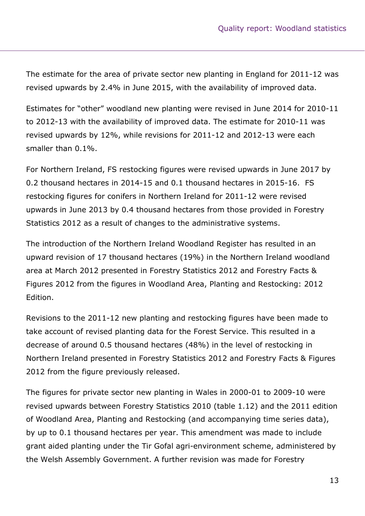The estimate for the area of private sector new planting in England for 2011-12 was revised upwards by 2.4% in June 2015, with the availability of improved data.

Estimates for "other" woodland new planting were revised in June 2014 for 2010-11 to 2012-13 with the availability of improved data. The estimate for 2010-11 was revised upwards by 12%, while revisions for 2011-12 and 2012-13 were each smaller than 0.1%.

For Northern Ireland, FS restocking figures were revised upwards in June 2017 by 0.2 thousand hectares in 2014-15 and 0.1 thousand hectares in 2015-16. FS restocking figures for conifers in Northern Ireland for 2011-12 were revised upwards in June 2013 by 0.4 thousand hectares from those provided in Forestry Statistics 2012 as a result of changes to the administrative systems.

The introduction of the Northern Ireland Woodland Register has resulted in an upward revision of 17 thousand hectares (19%) in the Northern Ireland woodland area at March 2012 presented in Forestry Statistics 2012 and Forestry Facts & Figures 2012 from the figures in Woodland Area, Planting and Restocking: 2012 Edition.

Revisions to the 2011-12 new planting and restocking figures have been made to take account of revised planting data for the Forest Service. This resulted in a decrease of around 0.5 thousand hectares (48%) in the level of restocking in Northern Ireland presented in Forestry Statistics 2012 and Forestry Facts & Figures 2012 from the figure previously released.

The figures for private sector new planting in Wales in 2000-01 to 2009-10 were revised upwards between Forestry Statistics 2010 (table 1.12) and the 2011 edition of Woodland Area, Planting and Restocking (and accompanying time series data), by up to 0.1 thousand hectares per year. This amendment was made to include grant aided planting under the Tir Gofal agri-environment scheme, administered by the Welsh Assembly Government. A further revision was made for Forestry